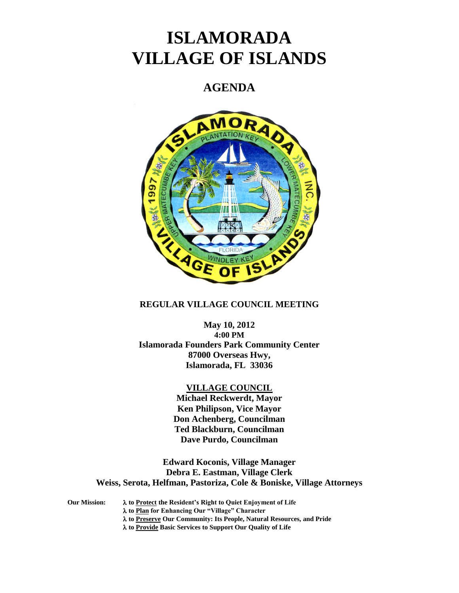# **ISLAMORADA VILLAGE OF ISLANDS**

# **AGENDA**



# **REGULAR VILLAGE COUNCIL MEETING**

# **May 10, 2012 4:00 PM Islamorada Founders Park Community Center 87000 Overseas Hwy, Islamorada, FL 33036**

# **VILLAGE COUNCIL**

**Michael Reckwerdt, Mayor Ken Philipson, Vice Mayor Don Achenberg, Councilman Ted Blackburn, Councilman Dave Purdo, Councilman**

**Edward Koconis, Village Manager Debra E. Eastman, Village Clerk Weiss, Serota, Helfman, Pastoriza, Cole & Boniske, Village Attorneys**

**Our Mission: to Protect the Resident's Right to Quiet Enjoyment of Life**

- **to Plan for Enhancing Our "Village" Character**
- **to Preserve Our Community: Its People, Natural Resources, and Pride**
- **to Provide Basic Services to Support Our Quality of Life**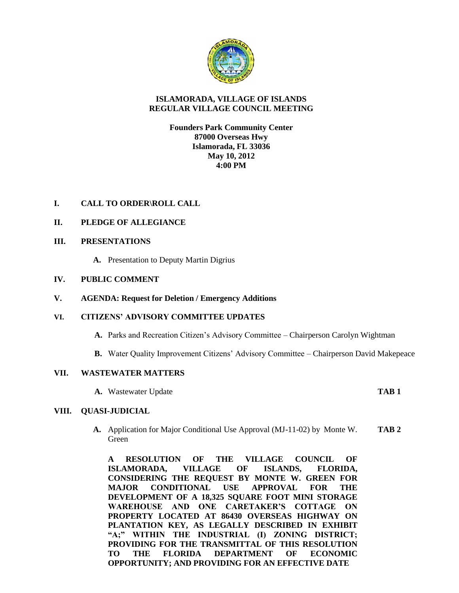

### **ISLAMORADA, VILLAGE OF ISLANDS REGULAR VILLAGE COUNCIL MEETING**

**Founders Park Community Center 87000 Overseas Hwy Islamorada, FL 33036 May 10, 2012 4:00 PM**

# **I. CALL TO ORDER\ROLL CALL**

# **II. PLEDGE OF ALLEGIANCE**

#### **III. PRESENTATIONS**

**A.** Presentation to Deputy Martin Digrius

#### **IV. PUBLIC COMMENT**

**V. AGENDA: Request for Deletion / Emergency Additions**

#### **VI. CITIZENS' ADVISORY COMMITTEE UPDATES**

- **A.** Parks and Recreation Citizen's Advisory Committee Chairperson Carolyn Wightman
- **B.** Water Quality Improvement Citizens' Advisory Committee Chairperson David Makepeace

#### **VII. WASTEWATER MATTERS**

**A.** Wastewater Update **TAB 1**

#### **VIII. QUASI-JUDICIAL**

**A.** Application for Major Conditional Use Approval (MJ-11-02) by Monte W. **TAB 2** Green

**A RESOLUTION OF THE VILLAGE COUNCIL OF ISLAMORADA, VILLAGE OF ISLANDS, FLORIDA, CONSIDERING THE REQUEST BY MONTE W. GREEN FOR MAJOR CONDITIONAL USE APPROVAL FOR THE DEVELOPMENT OF A 18,325 SQUARE FOOT MINI STORAGE WAREHOUSE AND ONE CARETAKER'S COTTAGE ON PROPERTY LOCATED AT 86430 OVERSEAS HIGHWAY ON PLANTATION KEY, AS LEGALLY DESCRIBED IN EXHIBIT "A;" WITHIN THE INDUSTRIAL (I) ZONING DISTRICT; PROVIDING FOR THE TRANSMITTAL OF THIS RESOLUTION TO THE FLORIDA DEPARTMENT OF ECONOMIC OPPORTUNITY; AND PROVIDING FOR AN EFFECTIVE DATE**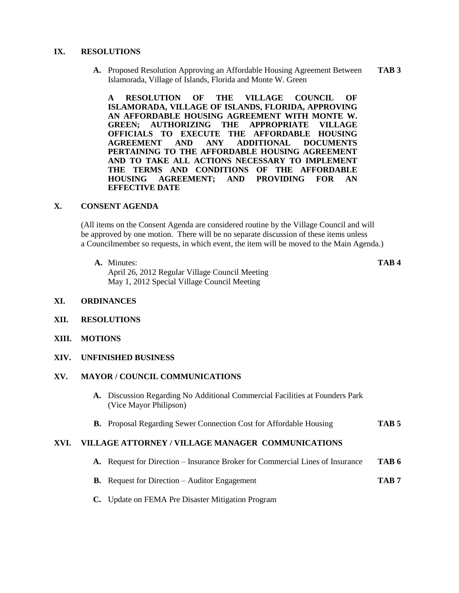#### **IX. RESOLUTIONS**

**A.** Proposed Resolution Approving an Affordable Housing Agreement Between **TAB 3** Islamorada, Village of Islands, Florida and Monte W. Green

**A RESOLUTION OF THE VILLAGE COUNCIL OF ISLAMORADA, VILLAGE OF ISLANDS, FLORIDA, APPROVING AN AFFORDABLE HOUSING AGREEMENT WITH MONTE W. GREEN; AUTHORIZING THE APPROPRIATE VILLAGE OFFICIALS TO EXECUTE THE AFFORDABLE HOUSING AGREEMENT AND ANY ADDITIONAL DOCUMENTS PERTAINING TO THE AFFORDABLE HOUSING AGREEMENT AND TO TAKE ALL ACTIONS NECESSARY TO IMPLEMENT THE TERMS AND CONDITIONS OF THE AFFORDABLE HOUSING AGREEMENT; AND PROVIDING FOR AN EFFECTIVE DATE**

#### **X. CONSENT AGENDA**

(All items on the Consent Agenda are considered routine by the Village Council and will be approved by one motion. There will be no separate discussion of these items unless a Councilmember so requests, in which event, the item will be moved to the Main Agenda.)

**A.** Minutes: **TAB 4**

April 26, 2012 Regular Village Council Meeting May 1, 2012 Special Village Council Meeting

- **XI. ORDINANCES**
- **XII. RESOLUTIONS**
- **XIII. MOTIONS**
- **XIV. UNFINISHED BUSINESS**

#### **XV. MAYOR / COUNCIL COMMUNICATIONS**

- **A.** Discussion Regarding No Additional Commercial Facilities at Founders Park (Vice Mayor Philipson)
- **B.** Proposal Regarding Sewer Connection Cost for Affordable Housing **TAB 5**

#### **XVI. VILLAGE ATTORNEY / VILLAGE MANAGER COMMUNICATIONS**

- **A.** Request for Direction Insurance Broker for Commercial Lines of Insurance **TAB 6**
- **B.** Request for Direction Auditor Engagement **TAB 7**
- **C.** Update on FEMA Pre Disaster Mitigation Program